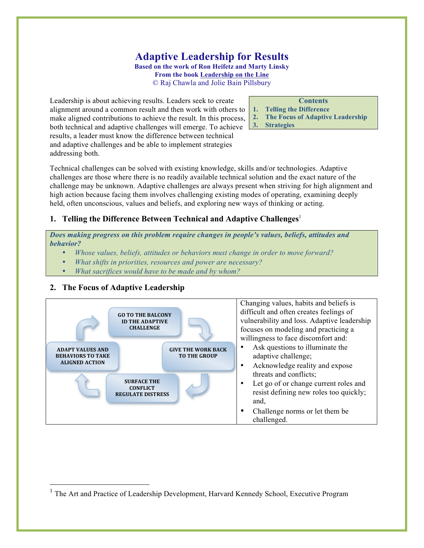# **Adaptive Leadership for Results**

**Based on the work of Ron Heifetz and Marty Linsky From the book Leadership on the Line** © Raj Chawla and Jolie Bain Pillsbury

Leadership is about achieving results. Leaders seek to create alignment around a common result and then work with others to make aligned contributions to achieve the result. In this process, both technical and adaptive challenges will emerge. To achieve results, a leader must know the difference between technical and adaptive challenges and be able to implement strategies addressing both.

#### **Contents**

- **1. Telling the Difference**
- **2. The Focus of Adaptive Leadership**
- **3. Strategies**

Technical challenges can be solved with existing knowledge, skills and/or technologies. Adaptive challenges are those where there is no readily available technical solution and the exact nature of the challenge may be unknown. Adaptive challenges are always present when striving for high alignment and high action because facing them involves challenging existing modes of operating, examining deeply held, often unconscious, values and beliefs, and exploring new ways of thinking or acting.

#### **1. Telling the Difference Between Technical and Adaptive Challenges<sup>1</sup>**

*Does making progress on this problem require changes in people's values, beliefs, attitudes and behavior?*

- *Whose values, beliefs, attitudes or behaviors must change in order to move forward?*
- *What shifts in priorities, resources and power are necessary?*
- *What sacrifices would have to be made and by whom?*

#### **2. The Focus of Adaptive Leadership**



<sup>&</sup>lt;sup>1</sup> The Art and Practice of Leadership Development, Harvard Kennedy School, Executive Program